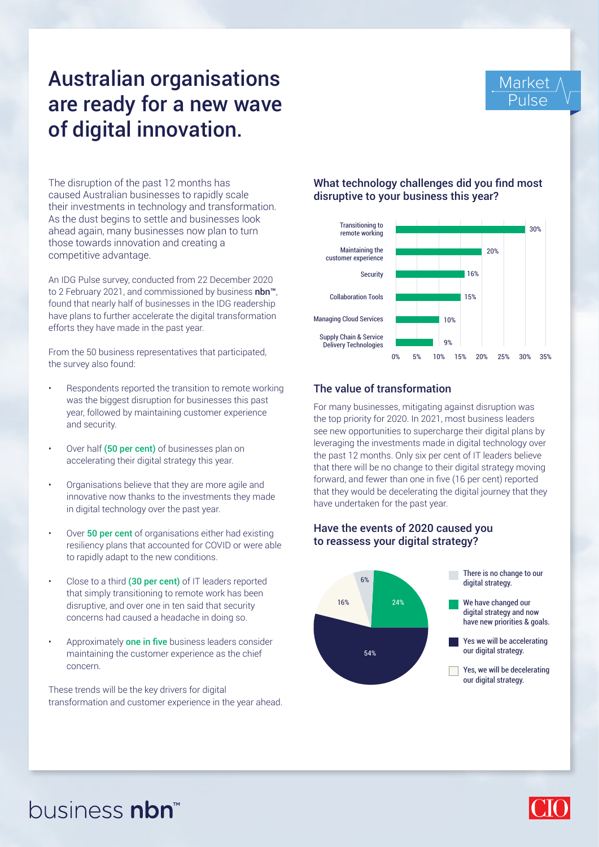## Australian organisations are ready for a new wave of digital innovation.



The disruption of the past 12 months has caused Australian businesses to rapidly scale their investments in technology and transformation. As the dust begins to settle and businesses look ahead again, many businesses now plan to turn those towards innovation and creating a competitive advantage.

An IDG Pulse survey, conducted from 22 December 2020 to 2 February 2021, and commissioned by business nbn<sup>™</sup>, found that nearly half of businesses in the IDG readership have plans to further accelerate the digital transformation efforts they have made in the past year.

From the 50 business representatives that participated, the survey also found:

- Respondents reported the transition to remote working was the biggest disruption for businesses this past year, followed by maintaining customer experience and security.
- Over half (50 per cent) of businesses plan on accelerating their digital strategy this year.
- Organisations believe that they are more agile and innovative now thanks to the investments they made in digital technology over the past year.
- Over 50 per cent of organisations either had existing resiliency plans that accounted for COVID or were able to rapidly adapt to the new conditions.
- Close to a third (30 per cent) of IT leaders reported that simply transitioning to remote work has been disruptive, and over one in ten said that security concerns had caused a headache in doing so.
- Approximately one in five business leaders consider maintaining the customer experience as the chief concern.

These trends will be the key drivers for digital transformation and customer experience in the year ahead.

### What technology challenges did you find most disruptive to your business this year?



## The value of transformation

For many businesses, mitigating against disruption was the top priority for 2020. In 2021, most business leaders see new opportunities to supercharge their digital plans by leveraging the investments made in digital technology over the past 12 months. Only six per cent of IT leaders believe that there will be no change to their digital strategy moving forward, and fewer than one in five (16 per cent) reported that they would be decelerating the digital journey that they have undertaken for the past year.

## Have the events of 2020 caused you to reassess your digital strategy?



# business nbn

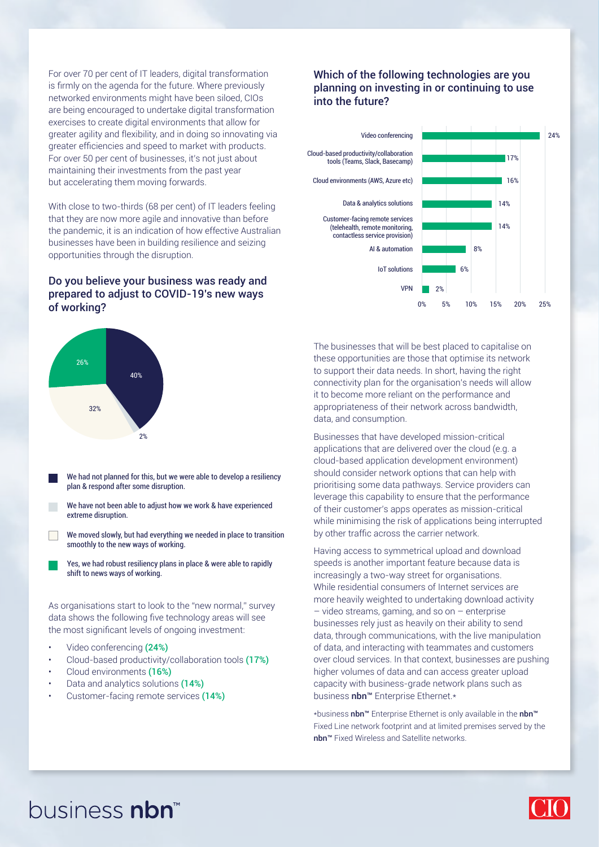For over 70 per cent of IT leaders, digital transformation is firmly on the agenda for the future. Where previously networked environments might have been siloed, CIOs are being encouraged to undertake digital transformation exercises to create digital environments that allow for greater agility and flexibility, and in doing so innovating via greater efficiencies and speed to market with products. For over 50 per cent of businesses, it's not just about maintaining their investments from the past year but accelerating them moving forwards.

With close to two-thirds (68 per cent) of IT leaders feeling that they are now more agile and innovative than before the pandemic, it is an indication of how effective Australian businesses have been in building resilience and seizing opportunities through the disruption.

### Do you believe your business was ready and prepared to adjust to COVID-19's new ways of working?



- Video conferencing (24%)
- Cloud-based productivity/collaboration tools (17%)
- Cloud environments (16%)
- Data and analytics solutions (14%)
- Customer-facing remote services (14%)

### Which of the following technologies are you planning on investing in or continuing to use into the future?



The businesses that will be best placed to capitalise on these opportunities are those that optimise its network to support their data needs. In short, having the right connectivity plan for the organisation's needs will allow it to become more reliant on the performance and appropriateness of their network across bandwidth, data, and consumption.

Businesses that have developed mission-critical applications that are delivered over the cloud (e.g. a cloud-based application development environment) should consider network options that can help with prioritising some data pathways. Service providers can leverage this capability to ensure that the performance of their customer's apps operates as mission-critical while minimising the risk of applications being interrupted by other traffic across the carrier network.

Having access to symmetrical upload and download speeds is another important feature because data is increasingly a two-way street for organisations. While residential consumers of Internet services are more heavily weighted to undertaking download activity – video streams, gaming, and so on – enterprise businesses rely just as heavily on their ability to send data, through communications, with the live manipulation of data, and interacting with teammates and customers over cloud services. In that context, businesses are pushing higher volumes of data and can access greater upload capacity with business-grade network plans such as business nbn™ Enterprise Ethernet.\*

\*business nbn™ Enterprise Ethernet is only available in the nbn™ Fixed Line network footprint and at limited premises served by the nbn™ Fixed Wireless and Satellite networks.

## business nbn